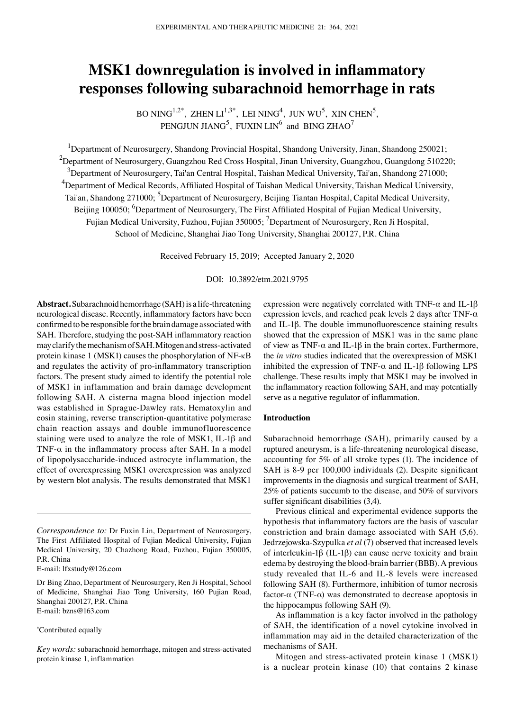# **MSK1 downregulation is involved in inflammatory responses following subarachnoid hemorrhage in rats**

BO NING<sup>1,2\*</sup>, ZHEN  $LI^{1,3^*}$ , LEI NING<sup>4</sup>, JUN WU<sup>5</sup>, XIN CHEN<sup>5</sup>, PENGJUN JIAN $G^5$ , FUXIN LIN<sup>6</sup> and BING ZHAO<sup>7</sup>

<sup>1</sup>Department of Neurosurgery, Shandong Provincial Hospital, Shandong University, Jinan, Shandong 250021;  $^{2}$ Department of Neurosurgery, Guangzhou Red Cross Hospital, Jinan University, Guangzhou, Guangdong 510220;  $^3$ Department of Neurosurgery, Tai'an Central Hospital, Taishan Medical University, Tai'an, Shandong 271000; 4 Department of Medical Records, Affiliated Hospital of Taishan Medical University, Taishan Medical University, Tai'an, Shandong 271000; <sup>5</sup>Department of Neurosurgery, Beijing Tiantan Hospital, Capital Medical University, Beijing 100050; <sup>6</sup>Department of Neurosurgery, The First Affiliated Hospital of Fujian Medical University, Fujian Medical University, Fuzhou, Fujian 350005; <sup>7</sup>Department of Neurosurgery, Ren Ji Hospital, School of Medicine, Shanghai Jiao Tong University, Shanghai 200127, P.R. China

Received February 15, 2019; Accepted January 2, 2020

DOI: 10.3892/etm.2021.9795

**Abstract.** Subarachnoid hemorrhage (SAH) is a life‑threatening neurological disease. Recently, inflammatory factors have been confirmed to be responsible for the brain damage associated with SAH. Therefore, studying the post‑SAH inflammatory reaction may clarify the mechanism of SAH. Mitogen and stress‑activated protein kinase 1 (MSK1) causes the phosphorylation of NF‑κB and regulates the activity of pro‑inflammatory transcription factors. The present study aimed to identify the potential role of MSK1 in inflammation and brain damage development following SAH. A cisterna magna blood injection model was established in Sprague‑Dawley rats. Hematoxylin and eosin staining, reverse transcription‑quantitative polymerase chain reaction assays and double immunofluorescence staining were used to analyze the role of MSK1, IL‑1β and TNF- $\alpha$  in the inflammatory process after SAH. In a model of lipopolysaccharide‑induced astrocyte inflammation, the effect of overexpressing MSK1 overexpression was analyzed by western blot analysis. The results demonstrated that MSK1

#### \* Contributed equally

expression were negatively correlated with TNF- $\alpha$  and IL-1 $\beta$ expression levels, and reached peak levels 2 days after TNF- $\alpha$ and IL‑1β. The double immunofluorescence staining results showed that the expression of MSK1 was in the same plane of view as TNF- $\alpha$  and IL-1 $\beta$  in the brain cortex. Furthermore, the *in vitro* studies indicated that the overexpression of MSK1 inhibited the expression of TNF- $\alpha$  and IL-1 $\beta$  following LPS challenge. These results imply that MSK1 may be involved in the inflammatory reaction following SAH, and may potentially serve as a negative regulator of inflammation.

# **Introduction**

Subarachnoid hemorrhage (SAH), primarily caused by a ruptured aneurysm, is a life-threatening neurological disease, accounting for 5% of all stroke types (1). The incidence of SAH is 8‑9 per 100,000 individuals (2). Despite significant improvements in the diagnosis and surgical treatment of SAH, 25% of patients succumb to the disease, and 50% of survivors suffer significant disabilities (3,4).

Previous clinical and experimental evidence supports the hypothesis that inflammatory factors are the basis of vascular constriction and brain damage associated with SAH (5,6). Jedrzejowska‑Szypulka *et al* (7) observed that increased levels of interleukin-1β (IL-1β) can cause nerve toxicity and brain edema by destroying the blood‑brain barrier (BBB). A previous study revealed that IL‑6 and IL‑8 levels were increased following SAH (8). Furthermore, inhibition of tumor necrosis factor- $\alpha$  (TNF- $\alpha$ ) was demonstrated to decrease apoptosis in the hippocampus following SAH (9).

As inflammation is a key factor involved in the pathology of SAH, the identification of a novel cytokine involved in inflammation may aid in the detailed characterization of the mechanisms of SAH.

Mitogen and stress‑activated protein kinase 1 (MSK1) is a nuclear protein kinase (10) that contains 2 kinase

*Correspondence to:* Dr Fuxin Lin, Department of Neurosurgery, The First Affiliated Hospital of Fujian Medical University, Fujian Medical University, 20 Chazhong Road, Fuzhou, Fujian 350005, P.R. China

E‑mail: lfxstudy@126.com

Dr Bing Zhao, Department of Neurosurgery, Ren Ji Hospital, School of Medicine, Shanghai Jiao Tong University, 160 Pujian Road, Shanghai 200127, P.R. China E‑mail: bzns@163.com

*Key words:* subarachnoid hemorrhage, mitogen and stress‑activated protein kinase 1, inflammation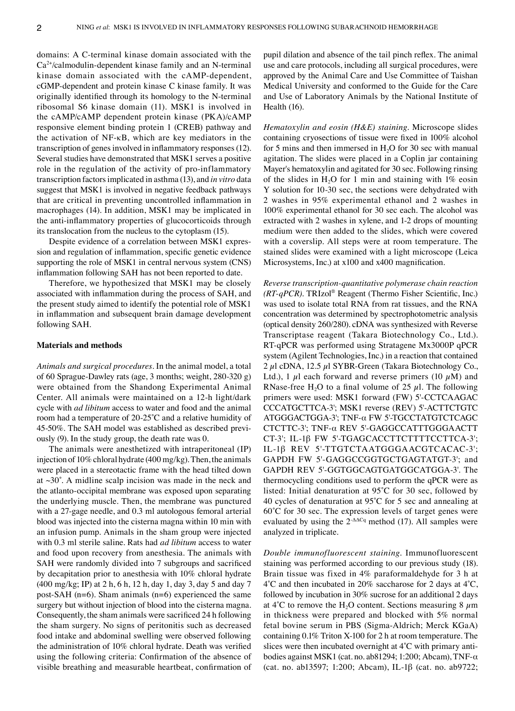domains: A C‑terminal kinase domain associated with the  $Ca<sup>2+</sup>/calmodulin-dependent kinase family and an N-terminal$ kinase domain associated with the cAMP‑dependent, cGMP‑dependent and protein kinase C kinase family. It was originally identified through its homology to the N‑terminal ribosomal S6 kinase domain (11). MSK1 is involved in the cAMP/cAMP dependent protein kinase (PKA)/cAMP responsive element binding protein 1 (CREB) pathway and the activation of NF‑κB, which are key mediators in the transcription of genes involved in inflammatory responses(12). Several studies have demonstrated that MSK1 serves a positive role in the regulation of the activity of pro‑inflammatory transcription factors implicated in asthma (13), and *in vitro* data suggest that MSK1 is involved in negative feedback pathways that are critical in preventing uncontrolled inflammation in macrophages (14). In addition, MSK1 may be implicated in the anti-inflammatory properties of glucocorticoids through its translocation from the nucleus to the cytoplasm (15).

Despite evidence of a correlation between MSK1 expression and regulation of inflammation, specific genetic evidence supporting the role of MSK1 in central nervous system (CNS) inflammation following SAH has not been reported to date.

Therefore, we hypothesized that MSK1 may be closely associated with inflammation during the process of SAH, and the present study aimed to identify the potential role of MSK1 in inflammation and subsequent brain damage development following SAH.

#### **Materials and methods**

*Animals and surgical procedures.* In the animal model, a total of 60 Sprague‑Dawley rats (age, 3 months; weight, 280‑320 g) were obtained from the Shandong Experimental Animal Center. All animals were maintained on a 12‑h light/dark cycle with *ad libitum* access to water and food and the animal room had a temperature of 20‑25˚C and a relative humidity of 45-50%. The SAH model was established as described previously (9). In the study group, the death rate was 0.

The animals were anesthetized with intraperitoneal (IP) injection of 10% chloral hydrate (400 mg/kg). Then, the animals were placed in a stereotactic frame with the head tilted down at  $\sim$ 30 $^{\circ}$ . A midline scalp incision was made in the neck and the atlanto‑occipital membrane was exposed upon separating the underlying muscle. Then, the membrane was punctured with a 27‑gage needle, and 0.3 ml autologous femoral arterial blood was injected into the cisterna magna within 10 min with an infusion pump. Animals in the sham group were injected with 0.3 ml sterile saline. Rats had *ad libitum* access to water and food upon recovery from anesthesia. The animals with SAH were randomly divided into 7 subgroups and sacrificed by decapitation prior to anesthesia with 10% chloral hydrate (400 mg/kg; IP) at 2 h, 6 h, 12 h, day 1, day 3, day 5 and day 7 post-SAH (n=6). Sham animals (n=6) experienced the same surgery but without injection of blood into the cisterna magna. Consequently, the sham animals were sacrificed 24 h following the sham surgery. No signs of peritonitis such as decreased food intake and abdominal swelling were observed following the administration of 10% chloral hydrate. Death was verified using the following criteria: Confirmation of the absence of visible breathing and measurable heartbeat, confirmation of pupil dilation and absence of the tail pinch reflex. The animal use and care protocols, including all surgical procedures, were approved by the Animal Care and Use Committee of Taishan Medical University and conformed to the Guide for the Care and Use of Laboratory Animals by the National Institute of Health (16).

*Hematoxylin and eosin (H&E) staining.* Microscope slides containing cryosections of tissue were fixed in 100% alcohol for 5 mins and then immersed in  $H<sub>2</sub>O$  for 30 sec with manual agitation. The slides were placed in a Coplin jar containing Mayer's hematoxylin and agitated for 30 sec. Following rinsing of the slides in  $H_2O$  for 1 min and staining with 1% eosin Y solution for 10‑30 sec, the sections were dehydrated with 2 washes in 95% experimental ethanol and 2 washes in 100% experimental ethanol for 30 sec each. The alcohol was extracted with 2 washes in xylene, and 1-2 drops of mounting medium were then added to the slides, which were covered with a coverslip. All steps were at room temperature. The stained slides were examined with a light microscope (Leica Microsystems, Inc.) at x100 and x400 magnification.

*Reverse transcription‑quantitative polymerase chain reaction (RT‑qPCR).* TRIzol® Reagent (Thermo Fisher Scientific, Inc.) was used to isolate total RNA from rat tissues, and the RNA concentration was determined by spectrophotometric analysis (optical density 260/280). cDNA was synthesized with Reverse Transcriptase reagent (Takara Biotechnology Co., Ltd.). RT‑qPCR was performed using Stratagene Mx3000P qPCR system (Agilent Technologies, Inc.) in a reaction that contained  $2 \mu$ l cDNA, 12.5  $\mu$ l SYBR-Green (Takara Biotechnology Co., Ltd.), 1  $\mu$ l each forward and reverse primers (10  $\mu$ M) and RNase-free H<sub>2</sub>O to a final volume of 25  $\mu$ l. The following primers were used: MSK1 forward (FW) 5'‑CCTCAAGAC CCCATGCTTCA‑3'; MSK1 reverse (REV) 5'‑ACTTCTGTC ATGGGACTGGA‑3'; TNF‑α FW 5'‑TGCCTATGTCTCAGC CTCTTC‑3'; TNF‑α REV 5'‑GAGGCCATTTGGGAACTT CT‑3'; IL‑1β FW 5'‑TGAGCACCTTCTTTTCCTTCA‑3'; IL‑1β REV 5'‑TTGTCTAATGGGAACGTCACAC‑3'; GAPDH FW 5'‑GAGGCCGGTGCTGAGTATGT‑3'; and GAPDH REV 5'‑GGTGGCAGTGATGGCATGGA‑3'. The thermocycling conditions used to perform the qPCR were as listed: Initial denaturation at 95˚C for 30 sec, followed by 40 cycles of denaturation at 95˚C for 5 sec and annealing at  $60^{\circ}$ C for 30 sec. The expression levels of target genes were evaluated by using the  $2^{\Delta\Delta Cq}$  method (17). All samples were analyzed in triplicate.

*Double immunofluorescent staining.* Immunofluorescent staining was performed according to our previous study (18). Brain tissue was fixed in 4% paraformaldehyde for 3 h at  $4^{\circ}$ C and then incubated in 20% saccharose for 2 days at  $4^{\circ}$ C, followed by incubation in 30% sucrose for an additional 2 days at 4°C to remove the H<sub>2</sub>O content. Sections measuring 8  $\mu$ m in thickness were prepared and blocked with 5% normal fetal bovine serum in PBS (Sigma‑Aldrich; Merck KGaA) containing 0.1% Triton X‑100 for 2 h at room temperature. The slices were then incubated overnight at  $4^{\circ}$ C with primary antibodies against MSK1 (cat. no. ab81294; 1:200; Abcam), TNF‑α (cat. no. ab13597; 1:200; Abcam), IL‑1β (cat. no. ab9722;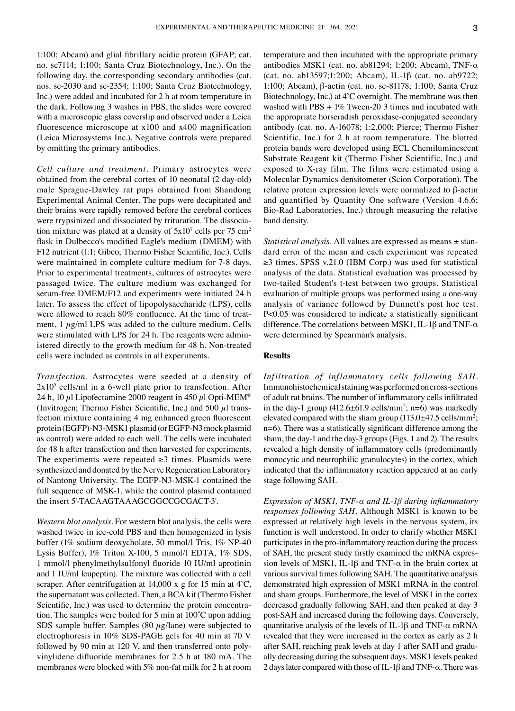1:100; Abcam) and glial fibrillary acidic protein (GFAP; cat. no. sc7114; 1:100; Santa Cruz Biotechnology, Inc.). On the following day, the corresponding secondary antibodies (cat. nos. sc‑2030 and sc‑2354; 1:100; Santa Cruz Biotechnology, Inc.) were added and incubated for 2 h at room temperature in the dark. Following 3 washes in PBS, the slides were covered with a microscopic glass coverslip and observed under a Leica fluorescence microscope at x100 and x400 magnification (Leica Microsystems Inc.). Negative controls were prepared by omitting the primary antibodies.

*Cell culture and treatment.* Primary astrocytes were obtained from the cerebral cortex of 10 neonatal (2 day‑old) male Sprague‑Dawley rat pups obtained from Shandong Experimental Animal Center. The pups were decapitated and their brains were rapidly removed before the cerebral cortices were trypsinized and dissociated by trituration. The dissociation mixture was plated at a density of  $5x10^7$  cells per 75 cm<sup>2</sup> flask in Dulbecco's modified Eagle's medium (DMEM) with F12 nutrient (1:1; Gibco; Thermo Fisher Scientific, Inc.). Cells were maintained in complete culture medium for 7‑8 days. Prior to experimental treatments, cultures of astrocytes were passaged twice. The culture medium was exchanged for serum-free DMEM/F12 and experiments were initiated 24 h later. To assess the effect of lipopolysaccharide (LPS), cells were allowed to reach 80% confluence. At the time of treatment,  $1 \mu g/ml$  LPS was added to the culture medium. Cells were stimulated with LPS for 24 h. The reagents were administered directly to the growth medium for 48 h. Non-treated cells were included as controls in all experiments.

*Transfection.* Astrocytes were seeded at a density of  $2x10<sup>5</sup>$  cells/ml in a 6-well plate prior to transfection. After 24 h, 10  $\mu$ l Lipofectamine 2000 reagent in 450  $\mu$ l Opti-MEM<sup>®</sup> (Invitrogen; Thermo Fisher Scientific, Inc.) and 500  $\mu$ l trans– fection mixture containing 4 mg enhanced green fluorescent protein (EGFP)‑N3‑MSK1 plasmid (or EGFP‑N3 mock plasmid as control) were added to each well. The cells were incubated for 48 h after transfection and then harvested for experiments. The experiments were repeated  $\geq$ 3 times. Plasmids were synthesized and donated by the Nerve Regeneration Laboratory of Nantong University. The EGFP‑N3‑MSK‑1 contained the full sequence of MSK-1, while the control plasmid contained the insert 5'‑TACAAGTAAAGCGGCCGCGACT‑3'.

*Western blot analysis.* For western blot analysis, the cells were washed twice in ice-cold PBS and then homogenized in lysis buffer (1% sodium deoxycholate, 50 mmol/l Tris, 1% NP‑40 Lysis Buffer), 1% Triton X‑100, 5 mmol/l EDTA, 1% SDS, 1 mmol/l phenylmethylsulfonyl fluoride 10 IU/ml aprotinin and 1 IU/ml leupeptin). The mixture was collected with a cell scraper. After centrifugation at 14,000 x g for 15 min at 4<sup>°</sup>C, the supernatant was collected. Then, a BCA kit (Thermo Fisher Scientific, Inc.) was used to determine the protein concentration. The samples were boiled for 5 min at 100˚C upon adding SDS sample buffer. Samples (80  $\mu$ g/lane) were subjected to electrophoresis in 10% SDS‑PAGE gels for 40 min at 70 V followed by 90 min at 120 V, and then transferred onto polyvinylidene difluoride membranes for 2.5 h at 180 mA. The membranes were blocked with 5% non-fat milk for 2 h at room temperature and then incubated with the appropriate primary antibodies MSK1 (cat. no. ab81294; 1:200; Abcam), TNF- $\alpha$ (cat. no. ab13597;1:200; Abcam), IL‑1β (cat. no. ab9722; 1:100; Abcam), β‑actin (cat. no. sc‑81178; 1:100; Santa Cruz Biotechnology, Inc.) at 4˚C overnight. The membrane was then washed with  $PBS + 1\%$  Tween-20 3 times and incubated with the appropriate horseradish peroxidase‑conjugated secondary antibody (cat. no. A‑16078; 1:2,000; Pierce; Thermo Fisher Scientific, Inc.) for 2 h at room temperature. The blotted protein bands were developed using ECL Chemiluminescent Substrate Reagent kit (Thermo Fisher Scientific, Inc.) and exposed to X‑ray film. The films were estimated using a Molecular Dynamics densitometer (Scion Corporation). The relative protein expression levels were normalized to β‑actin and quantified by Quantity One software (Version 4.6.6; Bio‑Rad Laboratories, Inc.) through measuring the relative band density.

*Statistical analysis.* All values are expressed as means  $\pm$  standard error of the mean and each experiment was repeated ≥3 times. SPSS v.21.0 (IBM Corp.) was used for statistical analysis of the data. Statistical evaluation was processed by two-tailed Student's t-test between two groups. Statistical evaluation of multiple groups was performed using a one‑way analysis of variance followed by Dunnett's post hoc test. P<0.05 was considered to indicate a statistically significant difference. The correlations between MSK1, IL‑1β and TNF‑α were determined by Spearman's analysis.

# **Results**

*Infiltration of inflammatory cells following SAH.*  Immunohistochemical staining was performed on cross‑sections of adult rat brains. The number of inflammatory cells infiltrated in the day-1 group  $(412.6 \pm 61.9 \text{ cells/mm}^2; n=6)$  was markedly elevated compared with the sham group  $(113.0 \pm 47.5 \text{ cells/mm}^2)$ ; n=6). There was a statistically significant difference among the sham, the day-1 and the day-3 groups (Figs. 1 and 2). The results revealed a high density of inflammatory cells (predominantly monocytic and neutrophilic granulocytes) in the cortex, which indicated that the inflammatory reaction appeared at an early stage following SAH.

*Expression of MSK1, TNF‑α and IL‑1β during inflammatory responses following SAH.* Although MSK1 is known to be expressed at relatively high levels in the nervous system, its function is well understood. In order to clarify whether MSK1 participates in the pro‑inflammatory reaction during the process of SAH, the present study firstly examined the mRNA expression levels of MSK1, IL-1 $\beta$  and TNF- $\alpha$  in the brain cortex at various survival times following SAH. The quantitative analysis demonstrated high expression of MSK1 mRNA in the control and sham groups. Furthermore, the level of MSK1 in the cortex decreased gradually following SAH, and then peaked at day 3 post‑SAH and increased during the following days. Conversely, quantitative analysis of the levels of IL-1 $\beta$  and TNF- $\alpha$  mRNA revealed that they were increased in the cortex as early as 2 h after SAH, reaching peak levels at day 1 after SAH and gradually decreasing during the subsequent days. MSK1 levels peaked 2 days later compared with those of IL-1 $\beta$  and TNF- $\alpha$ . There was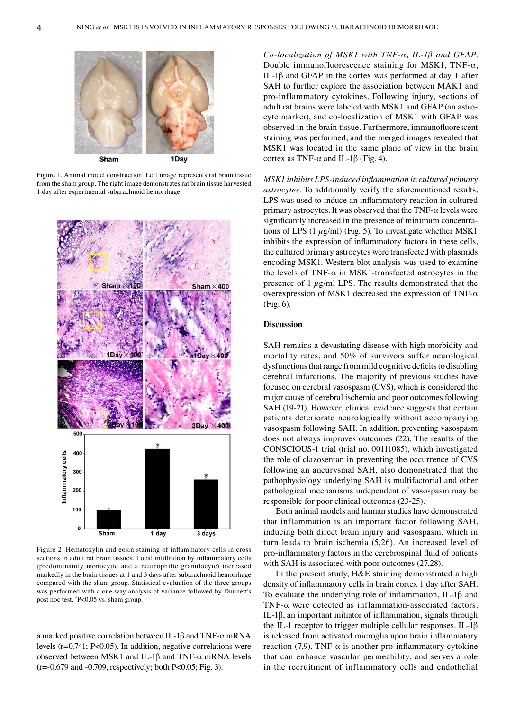

Figure 1. Animal model construction. Left image represents rat brain tissue from the sham group. The right image demonstrates rat brain tissue harvested 1 day after experimental subarachnoid hemorrhage.



Figure 2. Hematoxylin and eosin staining of inflammatory cells in cross sections in adult rat brain tissues. Local infiltration by inflammatory cells (predominantly monocytic and a neutrophilic granulocyte) increased markedly in the brain tissues at 1 and 3 days after subarachnoid hemorrhage compared with the sham group. Statistical evaluation of the three groups was performed with a one‑way analysis of variance followed by Dunnett's post hoc test. \* P<0.05 vs. sham group.

a marked positive correlation between IL-1 $\beta$  and TNF- $\alpha$  mRNA levels (r=0.741; P<0.05). In addition, negative correlations were observed between MSK1 and IL-1β and TNF- $α$  mRNA levels  $(r=0.679$  and  $-0.709$ , respectively; both P<0.05; Fig. 3).

*Co‑localization of MSK1 with TNF‑α, IL‑1β and GFAP.*  Double immunofluorescence staining for MSK1, TNF- $\alpha$ , IL‑1β and GFAP in the cortex was performed at day 1 after SAH to further explore the association between MAK1 and pro‑inflammatory cytokines. Following injury, sections of adult rat brains were labeled with MSK1 and GFAP (an astrocyte marker), and co-localization of MSK1 with GFAP was observed in the brain tissue. Furthermore, immunofluorescent staining was performed, and the merged images revealed that MSK1 was located in the same plane of view in the brain cortex as TNF- $\alpha$  and IL-1β (Fig. 4).

*MSK1 inhibits LPS‑induced inflammation in cultured primary astrocytes.* To additionally verify the aforementioned results, LPS was used to induce an inflammatory reaction in cultured primary astrocytes. It was observed that the  $TNF-\alpha$  levels were significantly increased in the presence of minimum concentrations of LPS (1  $\mu$ g/ml) (Fig. 5). To investigate whether MSK1 inhibits the expression of inflammatory factors in these cells, the cultured primary astrocytes were transfected with plasmids encoding MSK1. Western blot analysis was used to examine the levels of TNF- $\alpha$  in MSK1-transfected astrocytes in the presence of 1  $\mu$ g/ml LPS. The results demonstrated that the overexpression of MSK1 decreased the expression of TNF- $\alpha$ (Fig. 6).

# **Discussion**

SAH remains a devastating disease with high morbidity and mortality rates, and 50% of survivors suffer neurological dysfunctions that range from mild cognitive deficits to disabling cerebral infarctions. The majority of previous studies have focused on cerebral vasospasm (CVS), which is considered the major cause of cerebral ischemia and poor outcomes following SAH (19-21). However, clinical evidence suggests that certain patients deteriorate neurologically without accompanying vasospasm following SAH. In addition, preventing vasospasm does not always improves outcomes (22). The results of the CONSCIOUS‑1 trial (trial no. 00111085), which investigated the role of clazosentan in preventing the occurrence of CVS following an aneurysmal SAH, also demonstrated that the pathophysiology underlying SAH is multifactorial and other pathological mechanisms independent of vasospasm may be responsible for poor clinical outcomes (23‑25).

Both animal models and human studies have demonstrated that inflammation is an important factor following SAH, inducing both direct brain injury and vasospasm, which in turn leads to brain ischemia (5,26). An increased level of pro‑inflammatory factors in the cerebrospinal fluid of patients with SAH is associated with poor outcomes (27,28).

In the present study, H&E staining demonstrated a high density of inflammatory cells in brain cortex 1 day after SAH. To evaluate the underlying role of inflammation, IL‑1β and TNF- $\alpha$  were detected as inflammation-associated factors. IL‑1β, an important initiator of inflammation, signals through the IL-1 receptor to trigger multiple cellular responses. IL-1 $\beta$ is released from activated microglia upon brain inflammatory reaction (7,9). TNF- $\alpha$  is another pro-inflammatory cytokine that can enhance vascular permeability, and serves a role in the recruitment of inflammatory cells and endothelial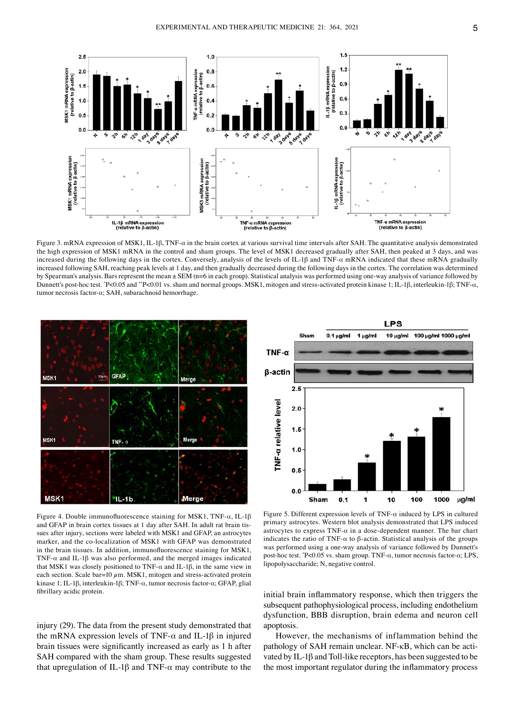

Figure 3. mRNA expression of MSK1, IL‑1β, TNF‑α in the brain cortex at various survival time intervals after SAH. The quantitative analysis demonstrated the high expression of MSK1 mRNA in the control and sham groups. The level of MSK1 decreased gradually after SAH, then peaked at 3 days, and was increased during the following days in the cortex. Conversely, analysis of the levels of IL‑1β and TNF‑α mRNA indicated that these mRNA gradually increased following SAH, reaching peak levels at 1 day, and then gradually decreased during the following days in the cortex. The correlation was determined by Spearman's analysis. Bars represent the mean ± SEM (n=6 in each group). Statistical analysis was performed using one-way analysis of variance followed by Dunnett's post‑hoc test. \* P<0.05 and \*\*P<0.01 vs. sham and normal groups. MSK1, mitogen and stress‑activated protein kinase 1; IL‑1β, interleukin‑1β; TNF‑α, tumor necrosis factor‑α; SAH, subarachnoid hemorrhage.



Figure 4. Double immunofluorescence staining for MSK1, TNF- $\alpha$ , IL-1 $\beta$ and GFAP in brain cortex tissues at 1 day after SAH. In adult rat brain tissues after injury, sections were labeled with MSK1 and GFAP, an astrocytes marker, and the co-localization of MSK1 with GFAP was demonstrated in the brain tissues. In addition, immunofluorescence staining for MSK1, TNF- $\alpha$  and IL-1 $\beta$  was also performed, and the merged images indicated that MSK1 was closely positioned to TNF‑α and IL‑1β, in the same view in each section. Scale bar=10  $\mu$ m. MSK1, mitogen and stress-activated protein kinase 1; IL‑1β, interleukin‑1β; TNF‑α, tumor necrosis factor‑α; GFAP, glial fibrillary acidic protein.

injury (29). The data from the present study demonstrated that the mRNA expression levels of TNF- $\alpha$  and IL-1β in injured brain tissues were significantly increased as early as 1 h after SAH compared with the sham group. These results suggested that upregulation of IL-1β and TNF- $α$  may contribute to the



Figure 5. Different expression levels of TNF- $\alpha$  induced by LPS in cultured primary astrocytes. Western blot analysis demonstrated that LPS induced astrocytes to express  $TNF-\alpha$  in a dose-dependent manner. The bar chart indicates the ratio of TNF- $\alpha$  to  $\beta$ -actin. Statistical analysis of the groups was performed using a one‑way analysis of variance followed by Dunnett's post‑hoc test. \* P<0.05 vs. sham group. TNF‑α, tumor necrosis factor‑α; LPS, lipopolysaccharide; N, negative control.

initial brain inflammatory response, which then triggers the subsequent pathophysiological process, including endothelium dysfunction, BBB disruption, brain edema and neuron cell apoptosis.

However, the mechanisms of inflammation behind the pathology of SAH remain unclear. NF-κB, which can be activated by IL-1 $\beta$  and Toll-like receptors, has been suggested to be the most important regulator during the inflammatory process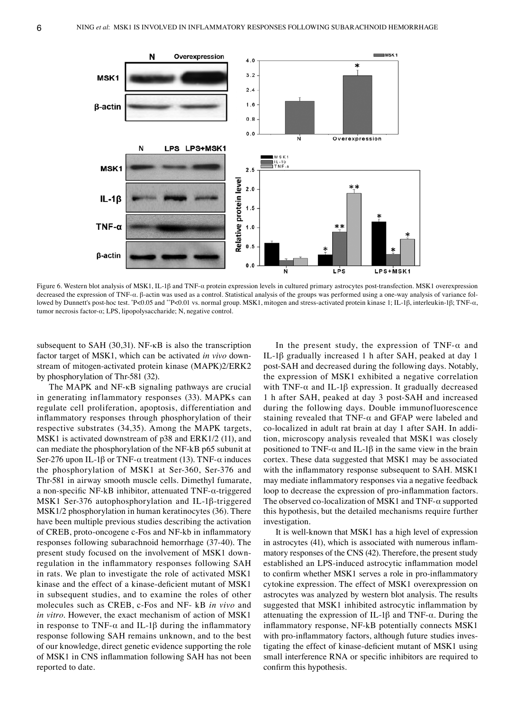

Figure 6. Western blot analysis of MSK1, IL-1β and TNF-α protein expression levels in cultured primary astrocytes post-transfection. MSK1 overexpression decreased the expression of TNF‑α. β‑actin was used as a control. Statistical analysis of the groups was performed using a one‑way analysis of variance fol‑ lowed by Dunnett's post-hoc test. "P<0.05 and ""P<0.01 vs. normal group. MSK1, mitogen and stress-activated protein kinase 1; IL-1β, interleukin-1β; TNF-α, tumor necrosis factor‑α; LPS, lipopolysaccharide; N, negative control.

subsequent to SAH  $(30,31)$ . NF- $\kappa$ B is also the transcription factor target of MSK1, which can be activated *in vivo* down‑ stream of mitogen-activated protein kinase (MAPK)2/ERK2 by phosphorylation of Thr-581 (32).

The MAPK and NF‑κB signaling pathways are crucial in generating inflammatory responses (33). MAPKs can regulate cell proliferation, apoptosis, differentiation and inflammatory responses through phosphorylation of their respective substrates (34,35). Among the MAPK targets, MSK1 is activated downstream of p38 and ERK1/2 (11), and can mediate the phosphorylation of the NF‑kB p65 subunit at Ser-276 upon IL-1 $\beta$  or TNF- $\alpha$  treatment (13). TNF- $\alpha$  induces the phosphorylation of MSK1 at Ser-360, Ser-376 and Thr‑581 in airway smooth muscle cells. Dimethyl fumarate, a non‑specific NF‑kB inhibitor, attenuated TNF‑α‑triggered MSK1 Ser-376 autophosphorylation and IL-1β-triggered MSK1/2 phosphorylation in human keratinocytes (36). There have been multiple previous studies describing the activation of CREB, proto‑oncogene c‑Fos and NF‑kb in inflammatory responses following subarachnoid hemorrhage (37‑40). The present study focused on the involvement of MSK1 down‑ regulation in the inflammatory responses following SAH in rats. We plan to investigate the role of activated MSK1 kinase and the effect of a kinase‑deficient mutant of MSK1 in subsequent studies, and to examine the roles of other molecules such as CREB, c‑Fos and NF‑ kB *in vivo* and *in vitro*. However, the exact mechanism of action of MSK1 in response to TNF- $\alpha$  and IL-1 $\beta$  during the inflammatory response following SAH remains unknown, and to the best of our knowledge, direct genetic evidence supporting the role of MSK1 in CNS inflammation following SAH has not been reported to date.

In the present study, the expression of  $TNF-\alpha$  and IL‑1β gradually increased 1 h after SAH, peaked at day 1 post‑SAH and decreased during the following days. Notably, the expression of MSK1 exhibited a negative correlation with TNF- $\alpha$  and IL-1 $\beta$  expression. It gradually decreased 1 h after SAH, peaked at day 3 post‑SAH and increased during the following days. Double immunofluorescence staining revealed that  $TNF-\alpha$  and GFAP were labeled and co-localized in adult rat brain at day 1 after SAH. In addition, microscopy analysis revealed that MSK1 was closely positioned to TNF- $\alpha$  and IL-1β in the same view in the brain cortex. These data suggested that MSK1 may be associated with the inflammatory response subsequent to SAH. MSK1 may mediate inflammatory responses via a negative feedback loop to decrease the expression of pro-inflammation factors. The observed co-localization of MSK1 and TNF- $\alpha$  supported this hypothesis, but the detailed mechanisms require further investigation.

It is well-known that MSK1 has a high level of expression in astrocytes (41), which is associated with numerous inflammatory responses of the CNS (42). Therefore, the present study established an LPS‑induced astrocytic inflammation model to confirm whether MSK1 serves a role in pro‑inflammatory cytokine expression. The effect of MSK1 overexpression on astrocytes was analyzed by western blot analysis. The results suggested that MSK1 inhibited astrocytic inflammation by attenuating the expression of IL-1 $\beta$  and TNF- $\alpha$ . During the inflammatory response, NF‑kB potentially connects MSK1 with pro-inflammatory factors, although future studies investigating the effect of kinase‑deficient mutant of MSK1 using small interference RNA or specific inhibitors are required to confirm this hypothesis.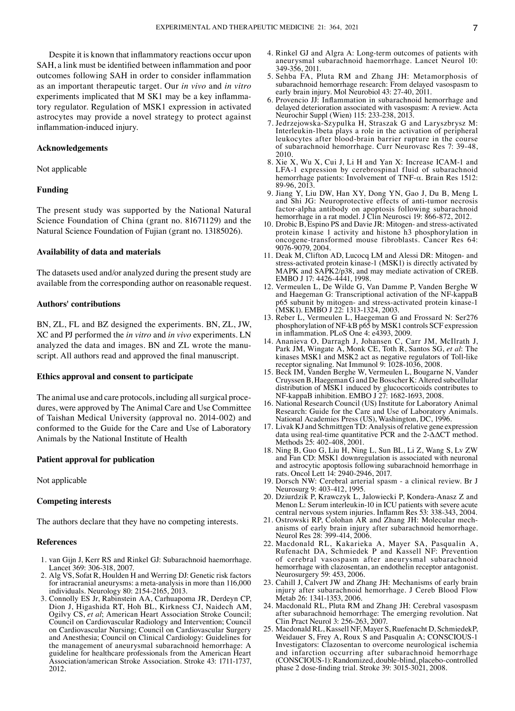Despite it is known that inflammatory reactions occur upon SAH, a link must be identified between inflammation and poor outcomes following SAH in order to consider inflammation as an important therapeutic target. Our *in vivo* and *in vitro* experiments implicated that M SK1 may be a key inflammatory regulator. Regulation of MSK1 expression in activated astrocytes may provide a novel strategy to protect against inflammation‑induced injury.

## **Acknowledgements**

Not applicable

# **Funding**

The present study was supported by the National Natural Science Foundation of China (grant no. 81671129) and the Natural Science Foundation of Fujian (grant no. 13185026).

### **Availability of data and materials**

The datasets used and/or analyzed during the present study are available from the corresponding author on reasonable request.

## **Authors' contributions**

BN, ZL, FL and BZ designed the experiments. BN, ZL, JW, XC and PJ performed the *in vitro* and *in vivo* experiments. LN analyzed the data and images. BN and ZL wrote the manuscript. All authors read and approved the final manuscript.

## **Ethics approval and consent to participate**

The animal use and care protocols, including all surgical procedures, were approved by The Animal Care and Use Committee of Taishan Medical University (approval no. 2014‑002) and conformed to the Guide for the Care and Use of Laboratory Animals by the National Institute of Health

#### **Patient approval for publication**

Not applicable

### **Competing interests**

The authors declare that they have no competing interests.

## **References**

- 1. van Gijn J, Kerr RS and Rinkel GJ: Subarachnoid haemorrhage. Lancet 369: 306‑318, 2007.
- 2. Alg VS, Sofat R, Houlden H and Werring DJ: Genetic risk factors for intracranial aneurysms: a meta‑analysis in more than 116,000 individuals. Neurology 80: 2154‑2165, 2013.
- 3. Connolly ES Jr, Rabinstein AA, Carhuapoma JR, Derdeyn CP, Dion J, Higashida RT, Hoh BL, Kirkness CJ, Naidech AM, Ogilvy CS, *et al*; American Heart Association Stroke Council; Council on Cardiovascular Radiology and Intervention; Council on Cardiovascular Nursing; Council on Cardiovascular Surgery and Anesthesia; Council on Clinical Cardiology: Guidelines for the management of aneurysmal subarachnoid hemorrhage: A guideline for healthcare professionals from the American Heart Association/american Stroke Association. Stroke 43: 1711‑1737, 2012.
- 4. Rinkel GJ and Algra A: Long‑term outcomes of patients with aneurysmal subarachnoid haemorrhage. Lancet Neurol 10: 349‑356, 2011.
- 5. Sehba FA, Pluta RM and Zhang JH: Metamorphosis of subarachnoid hemorrhage research: From delayed vasospasm to early brain injury. Mol Neurobiol 43: 27‑40, 2011.
- 6. Provencio JJ: Inflammation in subarachnoid hemorrhage and delayed deterioration associated with vasospasm: A review. Acta Neurochir Suppl (Wien) 115: 233‑238, 2013.
- 7. Jedrzejowska‑Szypulka H, Straszak G and Laryszbrysz M: Interleukin‑1beta plays a role in the activation of peripheral leukocytes after blood‑brain barrier rupture in the course of subarachnoid hemorrhage. Curr Neurovasc Res 7: 39-48, 2010.
- 8. Xie X, Wu X, Cui J, Li H and Yan X: Increase ICAM‑1 and LFA-1 expression by cerebrospinal fluid of subarachnoid hemorrhage patients: Involvement of TNF‑α. Brain Res 1512: 89‑96, 2013.
- 9. Jiang Y, Liu DW, Han XY, Dong YN, Gao J, Du B, Meng L and Shi JG: Neuroprotective effects of anti-tumor necrosis factor‑alpha antibody on apoptosis following subarachnoid hemorrhage in a rat model. J Clin Neurosci 19: 866-872, 2012.
- 10. Drobic B, Espino PS and Davie JR: Mitogen‑ and stress‑activated protein kinase 1 activity and histone h3 phosphorylation in oncogene‑transformed mouse fibroblasts. Cancer Res 64: 9076‑9079, 2004.
- 11. Deak M, Clifton AD, Lucocq LM and Alessi DR: Mitogen- and stress-activated protein kinase-1 (MSK1) is directly activated by MAPK and SAPK2/p38, and may mediate activation of CREB. EMBO J 17: 4426‑4441, 1998.
- 12. Vermeulen L, De Wilde G, Van Damme P, Vanden Berghe W and Haegeman G: Transcriptional activation of the NF‑kappaB p65 subunit by mitogen‑ and stress‑activated protein kinase‑1 (MSK1). EMBO J 22: 1313‑1324, 2003.
- 13. Reber L, Vermeulen L, Haegeman G and Frossard N: Ser276 phosphorylation of NF‑kB p65 by MSK1 controls SCF expression in inflammation. PLoS One 4: e4393, 2009.
- 14. Ananieva O, Darragh J, Johansen C, Carr JM, McIlrath J, Park JM, Wingate A, Monk CE, Toth R, Santos SG, *et al*: The kinases MSK1 and MSK2 act as negative regulators of Toll-like receptor signaling. Nat Immunol 9: 1028-1036, 2008.
- 15. Beck IM, Vanden Berghe W, Vermeulen L, Bougarne N, Vander Cruyssen B, Haegeman G and De Bosscher K: Altered subcellular distribution of MSK1 induced by glucocorticoids contributes to NF‑kappaB inhibition. EMBO J 27: 1682‑1693, 2008.
- 16. National Research Council (US) Institute for Laboratory Animal Research: Guide for the Care and Use of Laboratory Animals. National Academies Press (US), Washington, DC, 1996.
- 17. Livak KJ and Schmittgen TD: Analysis of relative gene expression data using real-time quantitative PCR and the 2-ΔΔCT method. Methods 25: 402-408, 2001.
- 18. Ning B, Guo G, Liu H, Ning L, Sun BL, Li Z, Wang S, Lv ZW and Fan CD: MSK1 downregulation is associated with neuronal and astrocytic apoptosis following subarachnoid hemorrhage in rats. Oncol Lett 14: 2940‑2946, 2017.
- 19. Dorsch NW: Cerebral arterial spasm ‑ a clinical review. Br J Neurosurg 9: 403‑412, 1995.
- 20. Dziurdzik P, Krawczyk L, Jalowiecki P, Kondera‑Anasz Z and Menon L: Serum interleukin-10 in ICU patients with severe acute central nervous system injuries. Inflamm Res 53: 338‑343, 2004.
- 21. Ostrowski RP, Colohan AR and Zhang JH: Molecular mech‑ anisms of early brain injury after subarachnoid hemorrhage. Neurol Res 28: 399‑414, 2006.
- 22. Macdonald RL, Kakarieka A, Mayer SA, Pasqualin A, Rufenacht DA, Schmiedek P and Kassell NF: Prevention of cerebral vasospasm after aneurysmal subarachnoid hemorrhage with clazosentan, an endothelin receptor antagonist. Neurosurgery 59: 453, 2006.
- 23. Cahill J, Calvert JW and Zhang JH: Mechanisms of early brain injury after subarachnoid hemorrhage. J Cereb Blood Flow Metab 26: 1341‑1353, 2006.
- 24. Macdonald RL, Pluta RM and Zhang JH: Cerebral vasospasm after subarachnoid hemorrhage: The emerging revolution. Nat Clin Pract Neurol 3: 256‑263, 2007.
- 25. Macdonald RL, Kassell NF, Mayer S, Ruefenacht D, SchmiedekP, Weidauer S, Frey A, Roux S and Pasqualin A; CONSCIOUS-1 Investigators: Clazosentan to overcome neurological ischemia and infarction occurring after subarachnoid hemorrhage (CONSCIOUS‑1): Randomized, double‑blind, placebo‑controlled phase 2 dose‑finding trial. Stroke 39: 3015‑3021, 2008.